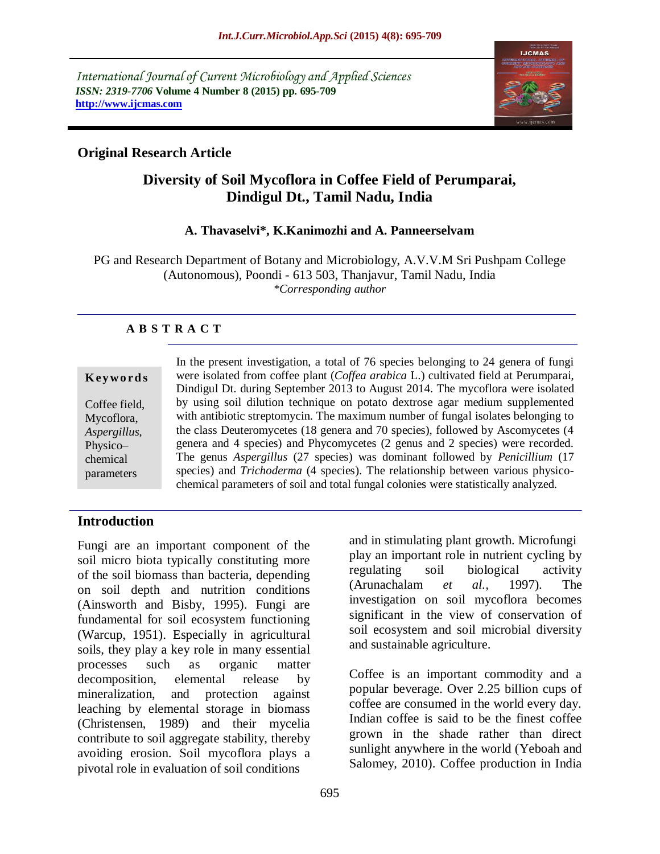*International Journal of Current Microbiology and Applied Sciences ISSN: 2319-7706* **Volume 4 Number 8 (2015) pp. 695-709 http://www.ijcmas.com**



### **Original Research Article**

# **Diversity of Soil Mycoflora in Coffee Field of Perumparai, Dindigul Dt., Tamil Nadu, India**

### **A. Thavaselvi\*, K.Kanimozhi and A. Panneerselvam**

PG and Research Department of Botany and Microbiology, A.V.V.M Sri Pushpam College (Autonomous), Poondi - 613 503, Thanjavur, Tamil Nadu, India *\*Corresponding author*

### **A B S T R A C T**

|               | In the present investigation, a total of 76 species belonging to 24 genera of fungi                                                                                            |
|---------------|--------------------------------------------------------------------------------------------------------------------------------------------------------------------------------|
| Keywords      | were isolated from coffee plant ( <i>Coffea arabica L.</i> ) cultivated field at Perumparai,<br>Dindigul Dt. during September 2013 to August 2014. The mycoflora were isolated |
| Coffee field, | by using soil dilution technique on potato dextrose agar medium supplemented                                                                                                   |
| Mycoflora,    | with antibiotic streptomycin. The maximum number of fungal isolates belonging to                                                                                               |
| Aspergillus,  | the class Deuteromycetes (18 genera and 70 species), followed by Ascomycetes (4                                                                                                |
| Physico-      | genera and 4 species) and Phycomycetes (2 genus and 2 species) were recorded.                                                                                                  |
| chemical      | The genus Aspergillus (27 species) was dominant followed by <i>Penicillium</i> (17                                                                                             |
| parameters    | species) and <i>Trichoderma</i> (4 species). The relationship between various physico-<br>chemical parameters of soil and total fungal colonies were statistically analyzed.   |

### **Introduction**

Fungi are an important component of the soil micro biota typically constituting more of the soil biomass than bacteria, depending on soil depth and nutrition conditions (Ainsworth and Bisby, 1995). Fungi are fundamental for soil ecosystem functioning (Warcup, 1951). Especially in agricultural soils, they play a key role in many essential processes such as organic matter decomposition, elemental release by mineralization, and protection against leaching by elemental storage in biomass (Christensen, 1989) and their mycelia contribute to soil aggregate stability, thereby avoiding erosion. Soil mycoflora plays a pivotal role in evaluation of soil conditions

and in stimulating plant growth. Microfungi play an important role in nutrient cycling by regulating soil biological activity (Arunachalam *et al.,* 1997). The investigation on soil mycoflora becomes significant in the view of conservation of soil ecosystem and soil microbial diversity and sustainable agriculture.

Coffee is an important commodity and a popular beverage. Over 2.25 billion cups of coffee are consumed in the world every day. Indian coffee is said to be the finest coffee grown in the shade rather than direct sunlight anywhere in the world (Yeboah and Salomey, 2010). Coffee production in India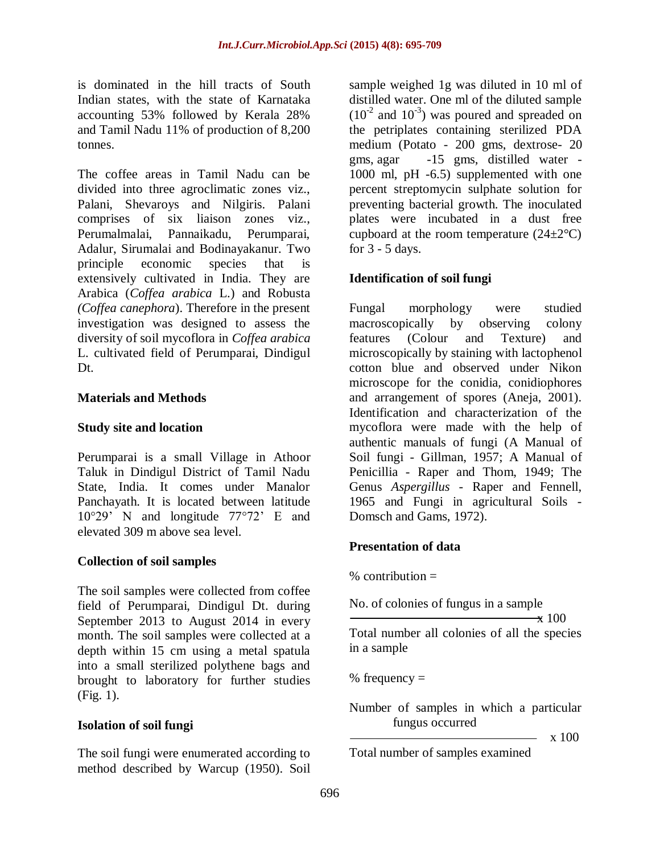is dominated in the hill tracts of [South](http://en.wikipedia.org/wiki/South_India)  [Indian](http://en.wikipedia.org/wiki/South_India) states, with the state of [Karnataka](http://en.wikipedia.org/wiki/Karnataka) accounting 53% followed by [Kerala](http://en.wikipedia.org/wiki/Kerala) 28% and [Tamil Nadu](http://en.wikipedia.org/wiki/Tamil_Nadu) 11% of production of 8,200 [tonnes.](http://en.wikipedia.org/wiki/Tonne)

The coffee areas in Tamil Nadu can be divided into three agroclimatic zones viz., Palani, Shevaroys and Nilgiris. Palani comprises of six liaison zones viz., Perumalmalai, Pannaikadu, Perumparai, Adalur, Sirumalai and Bodinayakanur. Two principle economic species that is extensively cultivated in India. They are Arabica (*Coffea arabica* L.) and Robusta *(Coffea canephora*). Therefore in the present investigation was designed to assess the diversity of soil mycoflora in *Coffea arabica*  L. cultivated field of Perumparai, Dindigul Dt.

#### **Materials and Methods**

#### **Study site and location**

Perumparai is a small Village in Athoor Taluk in Dindigul District of Tamil Nadu State, India. It comes under Manalor Panchayath. It is located between latitude 10°29' N and longitude 77°72' E and elevated 309 m above sea level.

#### **Collection of soil samples**

The soil samples were collected from coffee field of Perumparai, Dindigul Dt. during September 2013 to August 2014 in every month. The soil samples were collected at a depth within 15 cm using a metal spatula into a small sterilized polythene bags and brought to laboratory for further studies (Fig. 1).

#### **Isolation of soil fungi**

The soil fungi were enumerated according to method described by Warcup (1950). Soil

sample weighed 1g was diluted in 10 ml of distilled water. One ml of the diluted sample  $(10^{-2}$  and  $10^{-3})$  was poured and spreaded on the petriplates containing sterilized PDA medium (Potato - 200 gms, dextrose- 20 gms, agar -15 gms, distilled water - 1000 ml, pH -6.5) supplemented with one percent streptomycin sulphate solution for preventing bacterial growth. The inoculated plates were incubated in a dust free cupboard at the room temperature  $(24\pm2^{\circ}\text{C})$ for 3 - 5 days.

### **Identification of soil fungi**

Fungal morphology were studied macroscopically by observing colony features (Colour and Texture) and microscopically by staining with lactophenol cotton blue and observed under Nikon microscope for the conidia, conidiophores and arrangement of spores (Aneja, 2001). Identification and characterization of the mycoflora were made with the help of authentic manuals of fungi (A Manual of Soil fungi - Gillman, 1957; A Manual of Penicillia - Raper and Thom, 1949; The Genus *Aspergillus* - Raper and Fennell, 1965 and Fungi in agricultural Soils - Domsch and Gams, 1972).

### **Presentation of data**

 $%$  contribution =

No. of colonies of fungus in a sample

 $\overline{\mathbf{x}}$  100 Total number all colonies of all the species in a sample

% frequency  $=$ 

Number of samples in which a particular fungus occurred

 $- x 100$ 

Total number of samples examined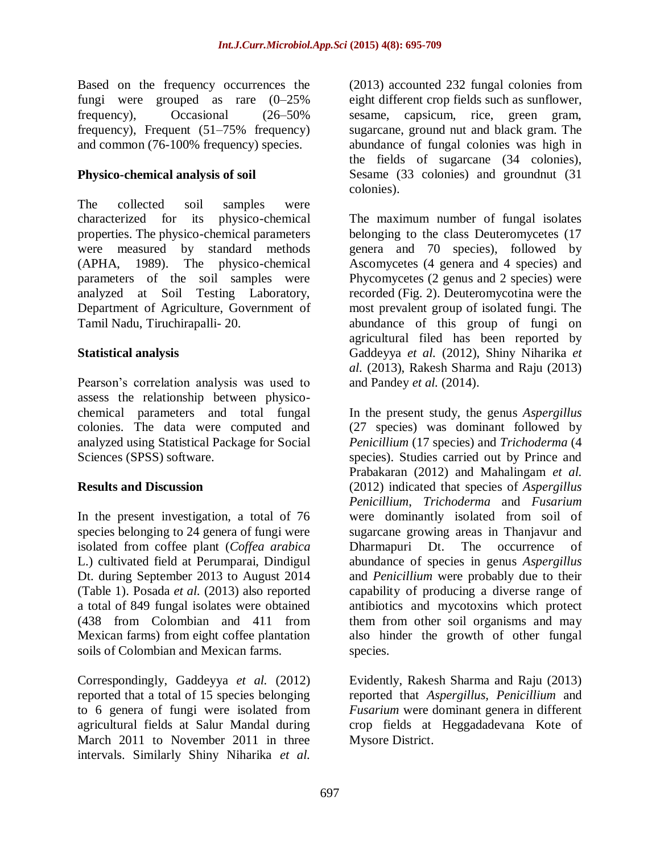Based on the frequency occurrences the fungi were grouped as rare (0–25% frequency), Occasional (26–50% frequency), Frequent (51–75% frequency) and common (76-100% frequency) species.

### **Physico-chemical analysis of soil**

The collected soil samples were characterized for its physico-chemical properties. The physico-chemical parameters were measured by standard methods (APHA, 1989). The physico-chemical parameters of the soil samples were analyzed at Soil Testing Laboratory, Department of Agriculture, Government of Tamil Nadu, Tiruchirapalli- 20.

### **Statistical analysis**

Pearson's correlation analysis was used to assess the relationship between physicochemical parameters and total fungal colonies. The data were computed and analyzed using Statistical Package for Social Sciences (SPSS) software.

#### **Results and Discussion**

In the present investigation, a total of 76 species belonging to 24 genera of fungi were isolated from coffee plant (*Coffea arabica* L.) cultivated field at Perumparai, Dindigul Dt. during September 2013 to August 2014 (Table 1). Posada *et al.* (2013) also reported a total of 849 fungal isolates were obtained (438 from Colombian and 411 from Mexican farms) from eight coffee plantation soils of Colombian and Mexican farms.

Correspondingly, Gaddeyya *et al.* (2012) reported that a total of 15 species belonging to 6 genera of fungi were isolated from agricultural fields at Salur Mandal during March 2011 to November 2011 in three intervals. Similarly Shiny Niharika *et al.* 

(2013) accounted 232 fungal colonies from eight different crop fields such as sunflower, sesame, capsicum, rice, green gram, sugarcane, ground nut and black gram. The abundance of fungal colonies was high in the fields of sugarcane (34 colonies), Sesame (33 colonies) and groundnut (31 colonies).

The maximum number of fungal isolates belonging to the class Deuteromycetes (17 genera and 70 species), followed by Ascomycetes (4 genera and 4 species) and Phycomycetes (2 genus and 2 species) were recorded (Fig. 2). Deuteromycotina were the most prevalent group of isolated fungi. The abundance of this group of fungi on agricultural filed has been reported by Gaddeyya *et al.* (2012), Shiny Niharika *et al.* (2013), Rakesh Sharma and Raju (2013) and Pandey *et al.* (2014).

In the present study, the genus *Aspergillus*  (27 species) was dominant followed by *Penicillium* (17 species) and *Trichoderma* (4 species). Studies carried out by Prince and Prabakaran (2012) and Mahalingam *et al.*  (2012) indicated that species of *Aspergillus Penicillium*, *Trichoderma* and *Fusarium*  were dominantly isolated from soil of sugarcane growing areas in Thanjavur and Dharmapuri Dt. The occurrence of abundance of species in genus *Aspergillus* and *Penicillium* were probably due to their capability of producing a diverse range of antibiotics and mycotoxins which protect them from other soil organisms and may also hinder the growth of other fungal species.

Evidently, Rakesh Sharma and Raju (2013) reported that *Aspergillus, Penicillium* and *Fusarium* were dominant genera in different crop fields at Heggadadevana Kote of Mysore District.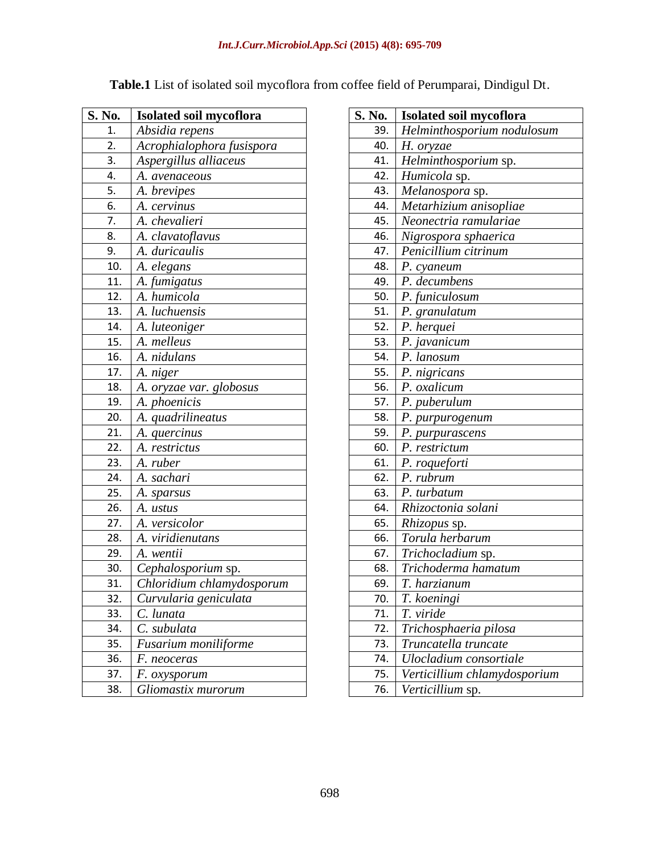| S. No.            | Isolated soil mycoflora        |
|-------------------|--------------------------------|
| 1.                | Absidia repens                 |
| 2.                | Acrophialophora fusispora      |
| 3.                | Aspergillus alliaceus          |
| 4.                | A. avenaceous                  |
| 5.                | A. brevipes                    |
| 6.                | A. cervinus                    |
| 7.                | A. chevalieri                  |
| 8.                | A. clavatoflavus               |
| 9.                | A. duricaulis                  |
| 10.               | A. elegans                     |
| 11.               | A. fumigatus                   |
| 12.               | A. humicola                    |
| 13.               | A. luchuensis                  |
| 14.               | A. luteoniger                  |
| 15.               | A. melleus                     |
| $\overline{16}$ . | A. nidulans                    |
| 17.               | A. niger                       |
| 18.               | <u>A. oryzae var. globosus</u> |
| 19.               | A. phoenicis                   |
| 20.               | A. quadrilineatus              |
| 21.               | A. quercinus                   |
| 22.               | A. restrictus                  |
| 23.               | A. ruber                       |
| 24.               | A. sachari                     |
| 25.               | A. sparsus                     |
| 26.               | A. ustus                       |
| 27.               | A. versicolor                  |
| 28.               | A. viridienutans               |
| 29.               | A. wentii                      |
| 30.               | Cephalosporium sp.             |
| 31.               | Chloridium chlamydosporum      |
| 32.               | Curvularia geniculata          |
| 33.               | C. lunata                      |
| 34.               | C. subulata                    |
| 35.               | Fusarium moniliforme           |
| 36.               | F. neoceras                    |
| 37.               | F. oxysporum                   |
| 38.               | Gliomastix murorum             |

|  |  |  |  |  | Table.1 List of isolated soil mycoflora from coffee field of Perumparai, Dindigul Dt. |
|--|--|--|--|--|---------------------------------------------------------------------------------------|
|--|--|--|--|--|---------------------------------------------------------------------------------------|

| S. No. | <b>Isolated soil mycoflora</b> |
|--------|--------------------------------|
| 39.    | Helminthosporium nodulosum     |
| 40.    | H. oryzae                      |
| 41.    | Helminthosporium sp.           |
| 42.    | Humicola sp.                   |
| 43.    | Melanospora sp.                |
| 44.    | Metarhizium anisopliae         |
| 45.    | Neonectria ramulariae          |
| 46.    | Nigrospora sphaerica           |
| 47.    | Penicillium citrinum           |
| 48.    | P. cyaneum                     |
| 49.    | P. decumbens                   |
| 50.    | P. funiculosum                 |
| 51.    | P. granulatum                  |
| 52.    | P. herquei                     |
| 53.    | P. javanicum                   |
| 54.    | P. lanosum                     |
| 55.    | P. nigricans                   |
| 56.    | $\overline{P}$ . oxalicum      |
| 57.    | P. puberulum                   |
| 58.    | P. purpurogenum                |
| 59.    | P. purpurascens                |
| 60.    | P. restrictum                  |
| 61.    | P. roqueforti                  |
| 62.    | P. rubrum                      |
| 63.    | P. turbatum                    |
| 64.    | Rhizoctonia solani             |
| 65.    | Rhizopus sp.                   |
| 66.    | Torula herbarum                |
| 67.    | Trichocladium sp.              |
| 68.    | Trichoderma hamatum            |
| 69.    | T. harzianum                   |
| 70.    | T. koeningi                    |
| 71.    | T. viride                      |
| 72.    | Trichosphaeria pilosa          |
| 73.    | Truncatella truncate           |
| 74.    | Ulocladium consortiale         |
| 75.    | Verticillium chlamydosporium   |
| 76.    | Verticillium sp.               |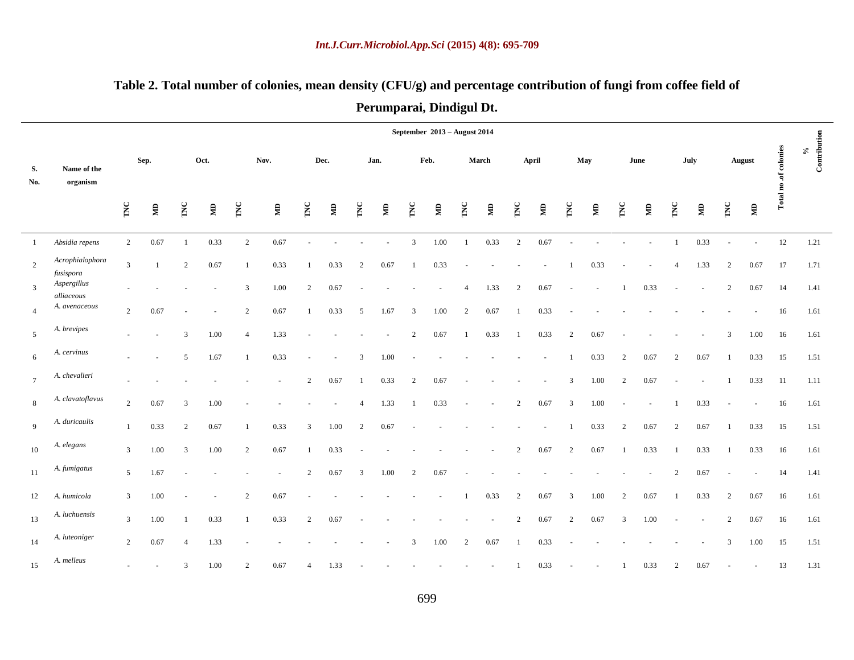|                |                              |                  |                |                |      |                |                         |                |      |                  |       |                | September 2013 - August 2014 |                |       |     |       |                         |                |     |              |                |        |                |               |                       |                                          |
|----------------|------------------------------|------------------|----------------|----------------|------|----------------|-------------------------|----------------|------|------------------|-------|----------------|------------------------------|----------------|-------|-----|-------|-------------------------|----------------|-----|--------------|----------------|--------|----------------|---------------|-----------------------|------------------------------------------|
| S.<br>No.      | Name of the<br>organism      |                  | Sep.           |                | Oct. |                | Nov.                    |                | Dec. |                  | Jan.  |                | Feb.                         |                | March |     | April |                         | May            |     | June         |                | July   |                | <b>August</b> | Total no .of colonies | Contribution<br>$\mathcal{S}_\mathbf{0}$ |
|                |                              | $\sum_{i=1}^{n}$ | $\mathbf{\Xi}$ | TNC            | Ê    | TNC            | $\overline{\mathbf{z}}$ | TNC            | Ê    | $\sum_{i=1}^{n}$ | $\Xi$ | TNC            | $\mathbf{\Xi}$               | TNC            | $\Xi$ | TNC | Ê     | TNC                     | $\mathbf{\Xi}$ | INC | $\mathbf{g}$ | TNC            | Ê      | TNC            | $\mathbf{g}$  |                       |                                          |
| $\mathbf{1}$   | Absidia repens               | $\overline{c}$   | 0.67           | $\overline{1}$ | 0.33 | 2              | 0.67                    |                |      |                  |       | 3              | 1.00                         | $\mathbf{1}$   | 0.33  | 2   | 0.67  |                         |                |     |              | 1              | 0.33   |                | ÷,            | 12                    | 1.21                                     |
| $\overline{2}$ | Acrophialophora<br>fusispora | $\mathfrak{Z}$   | $\overline{1}$ | 2              | 0.67 |                | 0.33                    |                | 0.33 | 2                | 0.67  |                | 0.33                         |                |       |     |       |                         | 0.33           |     |              | 4              | 1.33   | $\overline{2}$ | 0.67          | 17                    | 1.71                                     |
| 3              | Aspergillus<br>alliaceous    |                  |                |                |      | 3              | 1.00                    | 2              | 0.67 |                  |       |                |                              | $\overline{A}$ | 1.33  | 2   | 0.67  |                         |                |     | 0.33         |                | $\sim$ | 2              | 0.67          | 14                    | 1.41                                     |
| $\overline{4}$ | A. avenaceous                | $\overline{2}$   | 0.67           |                |      | 2              | 0.67                    |                | 0.33 | 5                | 1.67  | 3              | 1.00                         | 2              | 0.67  |     | 0.33  |                         |                |     |              |                |        |                |               | 16                    | 1.61                                     |
| 5              | A. brevipes                  |                  | $\sim$         | 3              | 1.00 | $\overline{4}$ | 1.33                    |                |      |                  |       | $\overline{2}$ | 0.67                         |                | 0.33  |     | 0.33  | 2                       | 0.67           |     |              |                |        | 3              | 1.00          | 16                    | 1.61                                     |
| 6              | A. cervinus                  |                  | $\blacksquare$ | 5              | 1.67 |                | 0.33                    |                |      | 3                | 1.00  |                |                              |                |       |     |       |                         | 0.33           | 2   | 0.67         | $\overline{2}$ | 0.67   |                | 0.33          | 15                    | 1.51                                     |
| $\overline{7}$ | A. chevalieri                |                  |                |                |      |                |                         | 2              | 0.67 |                  | 0.33  | $\overline{2}$ | 0.67                         |                |       |     |       | 3                       | 1.00           | 2   | 0.67         |                |        |                | 0.33          | 11                    | 1.11                                     |
| $8\,$          | A. clavatoflavus             | $\overline{c}$   | 0.67           | 3              | 1.00 |                |                         |                |      | $\overline{4}$   | 1.33  |                | 0.33                         |                |       | 2   | 0.67  | $\overline{\mathbf{3}}$ | 1.00           |     |              |                | 0.33   |                |               | 16                    | 1.61                                     |
| 9              | A. duricaulis                | 1                | 0.33           | 2              | 0.67 |                | 0.33                    | 3              | 1.00 | 2                | 0.67  |                |                              |                |       |     |       |                         | 0.33           | 2   | 0.67         | 2              | 0.67   | -1             | 0.33          | 15                    | 1.51                                     |
| $10\,$         | A. elegans                   | 3                | 1.00           | 3              | 1.00 | 2              | 0.67                    |                | 0.33 |                  |       |                |                              |                |       | 2   | 0.67  | 2                       | 0.67           |     | 0.33         |                | 0.33   |                | 0.33          | 16                    | 1.61                                     |
| 11             | A. fumigatus                 | 5                | 1.67           |                |      |                |                         | 2              | 0.67 | 3                | 1.00  | $\overline{c}$ | 0.67                         |                |       |     |       |                         |                |     |              | 2              | 0.67   |                |               | 14                    | 1.41                                     |
| 12             | A. humicola                  | 3                | 1.00           |                |      | 2              | 0.67                    |                |      |                  |       |                |                              |                | 0.33  | 2   | 0.67  | $\overline{\mathbf{3}}$ | 1.00           | 2   | 0.67         |                | 0.33   | 2              | 0.67          | 16                    | 1.61                                     |
| 13             | A. luchuensis                | 3                | 1.00           | -1             | 0.33 |                | 0.33                    | 2              | 0.67 |                  |       |                |                              |                |       | 2   | 0.67  | 2                       | 0.67           | 3   | 1.00         |                |        | $\overline{c}$ | 0.67          | 16                    | 1.61                                     |
| 14             | A. luteoniger                | $\overline{c}$   | 0.67           | $\overline{4}$ | 1.33 |                |                         |                |      |                  |       | 3              | 1.00                         | $\overline{c}$ | 0.67  |     | 0.33  |                         |                |     |              |                |        | 3              | 1.00          | 15                    | 1.51                                     |
| 15             | A. melleus                   |                  |                | 3              | 1.00 | $\overline{2}$ | 0.67                    | $\overline{4}$ | 1.33 |                  |       |                |                              |                |       |     | 0.33  |                         |                |     | 0.33         | $\overline{2}$ | 0.67   |                |               | 13                    | 1.31                                     |

# **Table 2. Total number of colonies, mean density (CFU/g) and percentage contribution of fungi from coffee field of Perumparai, Dindigul Dt.**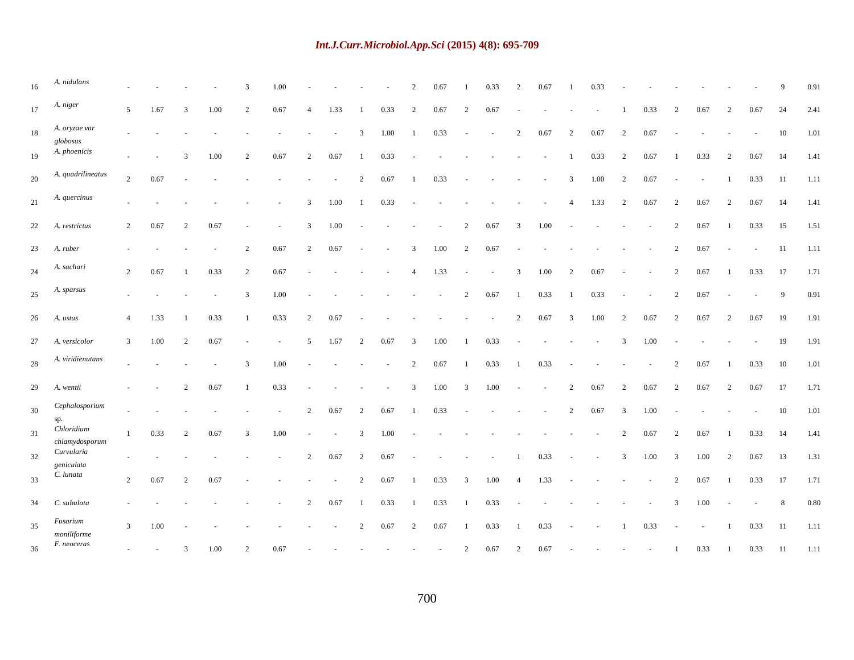| 16 | A. nidulans                                        |                |        |                |      | 3              | 1.00 |                |        |                |      | $\overline{2}$           | 0.67 |                | 0.33 | $\overline{2}$ | 0.67 |                | 0.33 |                |      |                |      |                |                | 9  | 0.91   |
|----|----------------------------------------------------|----------------|--------|----------------|------|----------------|------|----------------|--------|----------------|------|--------------------------|------|----------------|------|----------------|------|----------------|------|----------------|------|----------------|------|----------------|----------------|----|--------|
| 17 | A. niger                                           | 5              | 1.67   | 3              | 1.00 | $\overline{2}$ | 0.67 | 4              | 1.33   | -1             | 0.33 | 2                        | 0.67 | 2              | 0.67 |                |      |                |      |                | 0.33 | 2              | 0.67 | 2              | 0.67           | 24 | 2.41   |
| 18 | A. oryzae var<br>$\mathfrak{g} \mathfrak{l}obosus$ |                |        |                |      |                |      |                | $\sim$ | 3              | 1.00 |                          | 0.33 | $\sim$         |      | $\overline{2}$ | 0.67 | $\overline{c}$ | 0.67 | 2              | 0.67 |                |      |                | $\overline{a}$ | 10 | 1.01   |
| 19 | A. phoenicis                                       |                |        | 3              | 1.00 | $\overline{2}$ | 0.67 | 2              | 0.67   |                | 0.33 |                          |      |                |      |                |      |                | 0.33 | $\overline{2}$ | 0.67 |                | 0.33 | $\overline{c}$ | 0.67           | 14 | 1.41   |
| 20 | A. quadrilineatus                                  | $\overline{2}$ | 0.67   |                |      |                |      |                |        | 2              | 0.67 |                          | 0.33 |                |      |                |      | 3              | 1.00 | 2              | 0.67 |                |      |                | 0.33           | 11 | 1.11   |
| 21 | A. quercinus                                       |                |        |                |      |                |      | 3              | 1.00   | -1             | 0.33 |                          |      |                |      |                |      | $\overline{4}$ | 1.33 | $\overline{2}$ | 0.67 | 2              | 0.67 | 2              | 0.67           | 14 | 1.41   |
| 22 | A. restrictus                                      | $\overline{2}$ | 0.67   | 2              | 0.67 |                |      | 3              | 1.00   |                |      |                          |      | 2              | 0.67 | 3              | 1.00 |                |      |                |      | 2              | 0.67 | $\mathbf{1}$   | 0.33           | 15 | 1.51   |
| 23 | A. ruber                                           |                |        |                |      | $\overline{2}$ | 0.67 | $\overline{2}$ | 0.67   |                |      | 3                        | 1.00 | 2              | 0.67 |                |      |                |      |                |      | $\overline{c}$ | 0.67 |                |                | 11 | 1.11   |
| 24 | A. sachari                                         | 2              | 0.67   |                | 0.33 | $\overline{2}$ | 0.67 |                |        |                |      | $\overline{\mathcal{A}}$ | 1.33 |                |      | 3              | 1.00 | $\overline{2}$ | 0.67 |                |      | 2              | 0.67 |                | 0.33           | 17 | 1.71   |
| 25 | A. sparsus                                         |                |        |                |      | 3              | 1.00 |                |        |                |      |                          |      | 2              | 0.67 | -1             | 0.33 |                | 0.33 |                |      | 2              | 0.67 |                |                | 9  | 0.91   |
| 26 | A. ustus                                           | $\overline{4}$ | 1.33   |                | 0.33 |                | 0.33 | $\overline{2}$ | 0.67   |                |      |                          |      |                |      | $\overline{2}$ | 0.67 | 3              | 1.00 | $\overline{2}$ | 0.67 | 2              | 0.67 | $\overline{c}$ | 0.67           | 19 | 1.91   |
| 27 | A. versicolor                                      | $\overline{3}$ | 1.00   | 2              | 0.67 |                |      | 5              | 1.67   | $\overline{c}$ | 0.67 | $\overline{3}$           | 1.00 |                | 0.33 |                |      |                |      | 3              | 1.00 |                |      |                |                | 19 | 1.91   |
| 28 | A. viridienutans                                   |                |        |                |      | 3              | 1.00 |                |        |                |      | 2                        | 0.67 |                | 0.33 | -1             | 0.33 |                |      |                |      | $\overline{c}$ | 0.67 |                | 0.33           | 10 | $1.01$ |
| 29 | A. wentii                                          |                |        | $\overline{2}$ | 0.67 |                | 0.33 |                |        |                |      | 3                        | 1.00 | 3              | 1.00 |                |      | $\overline{c}$ | 0.67 | $\overline{c}$ | 0.67 | $\overline{c}$ | 0.67 | 2              | 0.67           | 17 | 1.71   |
| 30 | Cephalosporium<br>sp.                              |                |        |                |      |                |      | 2              | 0.67   | 2              | 0.67 |                          | 0.33 |                |      |                |      | $\overline{c}$ | 0.67 | 3              | 1.00 |                |      |                |                | 10 | 1.01   |
| 31 | Chloridium<br>chlamydosporum                       | $\mathbf{1}$   | 0.33   | 2              | 0.67 | 3              | 1.00 |                |        | 3              | 1.00 |                          |      |                |      |                |      |                |      | 2              | 0.67 | 2              | 0.67 | -1             | 0.33           | 14 | 1.41   |
| 32 | Curvularia<br>geniculata                           |                |        |                |      |                |      | 2              | 0.67   | $\overline{c}$ | 0.67 |                          |      |                |      | $\mathbf{1}$   | 0.33 |                |      | 3              | 1.00 | 3              | 1.00 | 2              | 0.67           | 13 | 1.31   |
| 33 | C. lunata                                          | $\overline{2}$ | 0.67   | 2              | 0.67 |                |      |                |        | 2              | 0.67 |                          | 0.33 | 3              | 1.00 | $\overline{4}$ | 1.33 |                |      |                |      | 2              | 0.67 | -1             | 0.33           | 17 | 1.71   |
| 34 | C. subulata                                        |                |        |                |      |                |      | $\overline{c}$ | 0.67   | -1             | 0.33 |                          | 0.33 | - 1            | 0.33 |                |      |                |      |                |      | 3              | 1.00 |                |                | 8  | 0.80   |
| 35 | Fusarium<br>moniliforme                            | $\mathfrak{Z}$ | 1.00   |                |      |                |      |                |        | 2              | 0.67 | 2                        | 0.67 |                | 0.33 | $\blacksquare$ | 0.33 |                |      | $\overline{1}$ | 0.33 | $\sim$         |      | $\mathbf{1}$   | 0.33           | 11 | 1.11   |
| 36 | F. neoceras                                        |                | $\sim$ | 3              | 1.00 | 2              | 0.67 |                |        |                |      |                          |      | $\overline{c}$ | 0.67 | $\overline{2}$ | 0.67 |                |      |                |      |                | 0.33 | -1             | 0.33           | 11 | 1.11   |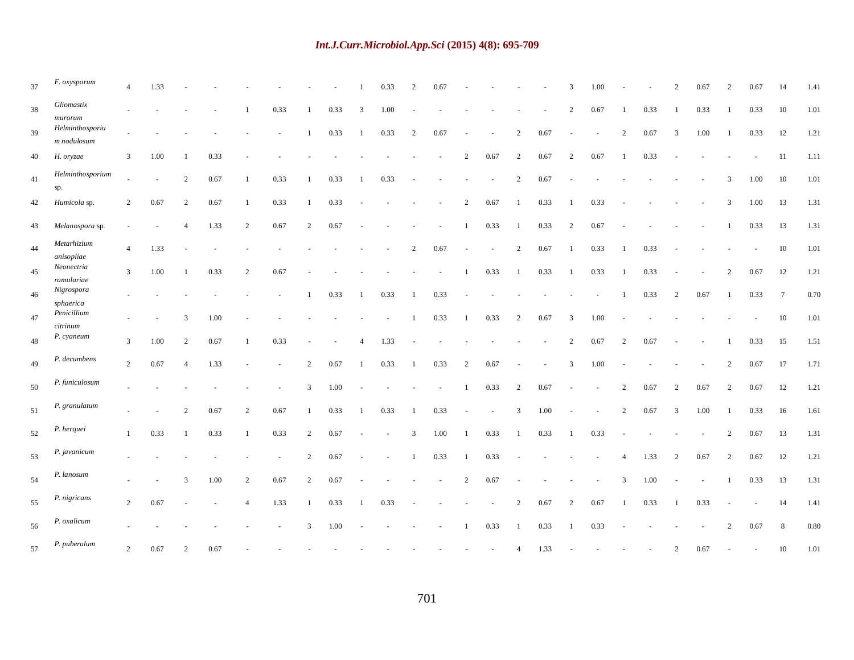| 37 | F. oxysporum                   | $\overline{4}$ | 1.33 |                |      |                |      |                |      |                | 0.33 |                | 0.67 |                |        |                |      | 3              | 1.00   |                |      | $\overline{2}$ | 0.67 | $\overline{2}$ | 0.67 | 14              | 1.41 |
|----|--------------------------------|----------------|------|----------------|------|----------------|------|----------------|------|----------------|------|----------------|------|----------------|--------|----------------|------|----------------|--------|----------------|------|----------------|------|----------------|------|-----------------|------|
| 38 | $Gliomastix$<br>$mu$ rorum     |                |      |                |      |                | 0.33 | -1             | 0.33 | 3              | 1.00 |                |      |                |        |                |      | 2              | 0.67   |                | 0.33 | -1             | 0.33 | $\overline{1}$ | 0.33 | 10              | 1.01 |
| 39 | Helminthosporiu<br>m nodulosum |                |      |                |      |                |      | 1              | 0.33 |                | 0.33 | 2              | 0.67 |                |        | $\overline{c}$ | 0.67 |                | $\sim$ | 2              | 0.67 | 3              | 1.00 |                | 0.33 | 12              | 1.21 |
| 40 | H. oryzae                      | 3              | 1.00 |                | 0.33 |                |      |                |      |                |      |                |      | 2              | 0.67   | $\overline{2}$ | 0.67 | 2              | 0.67   |                | 0.33 |                |      |                |      | 11              | 1.11 |
| 41 | Helminthosporium<br>sp.        |                |      | 2              | 0.67 | $\overline{1}$ | 0.33 | 1              | 0.33 |                | 0.33 |                |      |                |        | 2              | 0.67 |                |        |                |      |                |      | 3              | 1.00 | 10              | 1.01 |
| 42 | Humicola sp.                   | $\overline{c}$ | 0.67 | 2              | 0.67 |                | 0.33 | $\mathbf{1}$   | 0.33 |                |      |                |      | 2              | 0.67   | -1             | 0.33 | $\mathbf{1}$   | 0.33   |                |      |                |      | 3              | 1.00 | 13              | 1.31 |
| 43 | Melanospora sp.                |                |      | $\overline{4}$ | 1.33 | 2              | 0.67 | $\overline{2}$ | 0.67 |                |      |                |      | -1             | 0.33   | -1             | 0.33 | 2              | 0.67   |                |      |                |      | -1             | 0.33 | 13              | 1.31 |
| 44 | Metarhizium<br>anisopliae      | $\overline{4}$ | 1.33 |                |      |                |      |                |      |                |      | $\overline{c}$ | 0.67 |                | $\sim$ | 2              | 0.67 | $\mathbf{1}$   | 0.33   |                | 0.33 |                |      |                |      | 10              | 1.01 |
| 45 | Neonectria<br>ramulariae       | $\overline{3}$ | 1.00 |                | 0.33 | 2              | 0.67 |                |      |                |      |                |      |                | 0.33   |                | 0.33 |                | 0.33   |                | 0.33 |                |      | 2              | 0.67 | 12              | 1.21 |
| 46 | Nigrospora<br>sphaerica        |                |      |                |      |                |      |                | 0.33 |                | 0.33 |                | 0.33 |                |        |                |      |                |        |                | 0.33 | 2              | 0.67 | -1             | 0.33 | $7\phantom{.0}$ | 0.70 |
| 47 | Penicillium<br>citrinum        |                |      | 3              | 1.00 |                |      |                |      |                |      |                | 0.33 |                | 0.33   | $\overline{c}$ | 0.67 | 3              | 1.00   |                |      |                |      |                |      | 10              | 1.01 |
| 48 | P. cyaneum                     | $\mathbf{3}$   | 1.00 | 2              | 0.67 |                | 0.33 |                |      | $\overline{4}$ | 1.33 |                |      |                |        |                |      | 2              | 0.67   | $\overline{2}$ | 0.67 |                |      |                | 0.33 | 15              | 1.51 |
| 49 | P. decumbens                   | $\overline{2}$ | 0.67 | $\overline{4}$ | 1.33 |                |      | 2              | 0.67 | -1             | 0.33 |                | 0.33 | 2              | 0.67   |                | ÷.   | $\overline{3}$ | 1.00   |                |      |                |      | 2              | 0.67 | 17              | 1.71 |
| 50 | P. funiculosum                 |                |      |                |      |                |      | 3              | 1.00 |                |      |                |      | -1             | 0.33   | 2              | 0.67 |                |        | $\overline{2}$ | 0.67 | 2              | 0.67 | 2              | 0.67 | 12              | 1.21 |
| 51 | P. granulatum                  |                |      | 2              | 0.67 | 2              | 0.67 | 1              | 0.33 |                | 0.33 |                | 0.33 |                |        | 3              | 1.00 |                |        | 2              | 0.67 | 3              | 1.00 | $\mathbf{1}$   | 0.33 | 16              | 1.61 |
| 52 | P. herquei                     | -1             | 0.33 |                | 0.33 |                | 0.33 | 2              | 0.67 |                |      | 3              | 1.00 | $\mathbf{1}$   | 0.33   |                | 0.33 |                | 0.33   |                |      |                |      | 2              | 0.67 | 13              | 1.31 |
| 53 | P. javanicum                   |                |      |                |      |                |      | 2              | 0.67 |                |      |                | 0.33 | $\mathbf{1}$   | 0.33   |                |      |                |        | $\overline{4}$ | 1.33 | 2              | 0.67 | $\overline{2}$ | 0.67 | 12              | 1.21 |
| 54 | P. lanosum                     |                |      | 3              | 1.00 | $\overline{2}$ | 0.67 | $\overline{c}$ | 0.67 |                |      |                |      | $\overline{c}$ | 0.67   |                |      |                |        | 3              | 1.00 |                |      |                | 0.33 | 13              | 1.31 |
| 55 | P. nigricans                   | 2              | 0.67 |                |      | $\overline{4}$ | 1.33 | $\mathbf{1}$   | 0.33 |                | 0.33 |                |      |                |        | $\overline{2}$ | 0.67 | 2              | 0.67   |                | 0.33 | -1             | 0.33 |                |      | 14              | 1.41 |
| 56 | P. oxalicum                    |                |      |                |      |                |      | 3              | 1.00 |                |      |                |      |                | 0.33   |                | 0.33 |                | 0.33   |                |      |                |      | 2              | 0.67 | 8               | 0.80 |
| 57 | P. puberulum                   | $\overline{2}$ | 0.67 | 2              | 0.67 |                |      |                |      |                |      |                |      |                |        | $\overline{4}$ | 1.33 |                |        |                |      | 2              | 0.67 |                |      | 10              | 1.01 |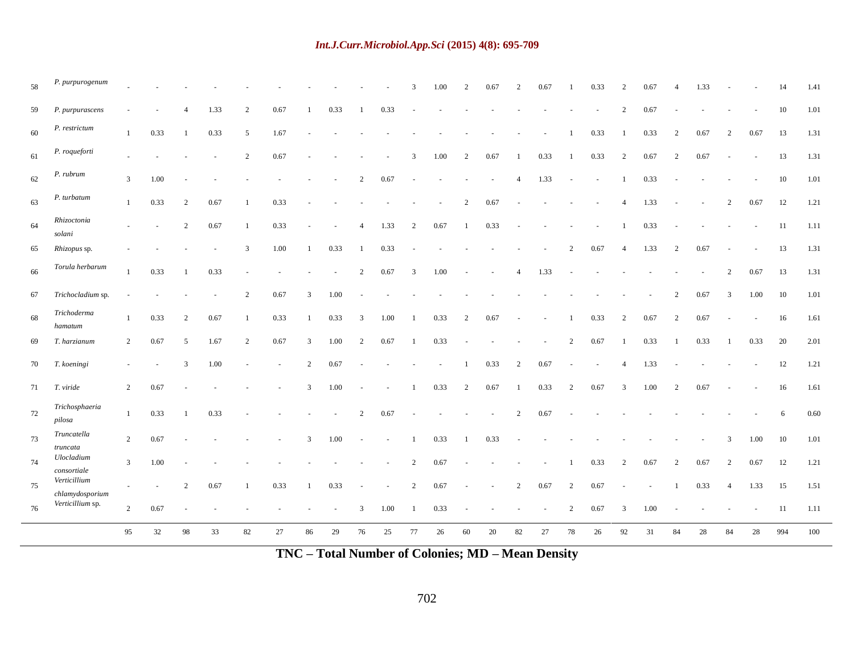| 58 | P. purpurogenum                 |                |                          |                |      |                |      |    |      |                |      | 3  | 1.00 | 2              | 0.67 | 2              | 0.67           |    | 0.33 | $\overline{2}$ | 0.67 | $\overline{4}$ | 1.33 |                |        | 14     | 1.41 |
|----|---------------------------------|----------------|--------------------------|----------------|------|----------------|------|----|------|----------------|------|----|------|----------------|------|----------------|----------------|----|------|----------------|------|----------------|------|----------------|--------|--------|------|
| 59 | P. purpurascens                 |                |                          |                | 1.33 | 2              | 0.67 |    | 0.33 |                | 0.33 |    |      |                |      |                |                |    |      | $\overline{2}$ | 0.67 |                |      |                |        | 10     | 1.01 |
| 60 | P. restrictum                   | -1             | 0.33                     | $\mathbf{1}$   | 0.33 | 5              | 1.67 |    |      |                |      |    |      |                |      |                |                |    | 0.33 | $\mathbf{1}$   | 0.33 | 2              | 0.67 | 2              | 0.67   | 13     | 1.31 |
| 61 | P. roqueforti                   |                | $\overline{\phantom{a}}$ |                |      | $\overline{2}$ | 0.67 |    |      |                | ÷,   | 3  | 1.00 | 2              | 0.67 | -1             | 0.33           |    | 0.33 | 2              | 0.67 | $\overline{2}$ | 0.67 | $\sim$         | $\sim$ | 13     | 1.31 |
| 62 | P. rubrum                       | $\overline{3}$ | 1.00                     |                |      |                |      |    |      | $\overline{2}$ | 0.67 |    |      |                |      | $\overline{4}$ | 1.33           |    |      |                | 0.33 |                |      |                |        | 10     | 1.01 |
| 63 | P. turbatum                     | $\mathbf{1}$   | 0.33                     | 2              | 0.67 |                | 0.33 |    |      |                |      |    |      | $\overline{2}$ | 0.67 |                |                |    |      | $\overline{4}$ | 1.33 |                |      | 2              | 0.67   | 12     | 1.21 |
| 64 | Rhizoctonia<br>solani           |                |                          | $\overline{2}$ | 0.67 | -1             | 0.33 |    |      | $\overline{4}$ | 1.33 | 2  | 0.67 | -1             | 0.33 |                |                |    |      | $\mathbf{1}$   | 0.33 |                |      |                |        | 11     | 1.11 |
| 65 | Rhizopus sp.                    |                |                          |                |      | 3              | 1.00 |    | 0.33 |                | 0.33 |    |      |                |      |                |                | 2  | 0.67 | $\overline{4}$ | 1.33 | $\overline{2}$ | 0.67 |                |        | 13     | 1.31 |
| 66 | Torula herbarum                 | $\mathbf{1}$   | 0.33                     |                | 0.33 |                |      |    |      | 2              | 0.67 | 3  | 1.00 |                |      | $\overline{4}$ | 1.33           |    |      |                |      |                |      | 2              | 0.67   | 13     | 1.31 |
| 67 | Trichocladium sp.               |                |                          |                |      | $\overline{c}$ | 0.67 | 3  | 1.00 |                |      |    |      |                |      |                |                |    |      |                |      | $\overline{c}$ | 0.67 | 3              | 1.00   | 10     | 1.01 |
| 68 | Trichoderma<br>hamatum          | $\mathbf{1}$   | 0.33                     | $\overline{2}$ | 0.67 | -1             | 0.33 | 1  | 0.33 | $\overline{3}$ | 1.00 |    | 0.33 | 2              | 0.67 |                |                |    | 0.33 | 2              | 0.67 | $\overline{c}$ | 0.67 |                |        | 16     | 1.61 |
| 69 | T. harzianum                    | 2              | 0.67                     | 5              | 1.67 | 2              | 0.67 | 3  | 1.00 | 2              | 0.67 |    | 0.33 |                |      |                |                | 2  | 0.67 |                | 0.33 |                | 0.33 |                | 0.33   | $20\,$ | 2.01 |
| 70 | T. koeningi                     |                |                          | 3              | 1.00 |                |      | 2  | 0.67 |                |      |    |      |                | 0.33 | $\overline{2}$ | 0.67           |    |      | $\overline{A}$ | 1.33 |                |      |                |        | 12     | 1.21 |
| 71 | T. viride                       | 2              | 0.67                     |                |      |                |      | 3  | 1.00 |                |      |    | 0.33 | 2              | 0.67 | $\overline{1}$ | 0.33           | 2  | 0.67 | 3              | 1.00 | $\overline{2}$ | 0.67 |                |        | 16     | 1.61 |
| 72 | Trichosphaeria<br>pilosa        | $\mathbf{1}$   | 0.33                     | $\overline{1}$ | 0.33 |                |      |    |      | 2              | 0.67 |    |      |                |      | $\overline{2}$ | 0.67           |    |      |                |      |                |      |                |        | 6      | 0.60 |
| 73 | Truncatella<br>truncata         | $\overline{c}$ | 0.67                     |                |      |                |      | 3  | 1.00 |                |      |    | 0.33 |                | 0.33 |                |                |    |      |                |      |                |      | 3              | 1.00   | 10     | 1.01 |
| 74 | Ulocladium<br>consortiale       | $\mathfrak{Z}$ | 1.00                     |                |      |                |      |    |      |                |      | 2  | 0.67 |                |      |                |                |    | 0.33 | 2              | 0.67 | $\overline{2}$ | 0.67 | $\overline{c}$ | 0.67   | 12     | 1.21 |
| 75 | Verticillium<br>chlamydosporium | $\sim$         | $\sim$                   | 2              | 0.67 |                | 0.33 | -1 | 0.33 |                |      | 2  | 0.67 |                |      | 2              | 0.67           | 2  | 0.67 |                |      |                | 0.33 | $\overline{4}$ | 1.33   | 15     | 1.51 |
| 76 | Verticillium sp.                | 2              | 0.67                     |                |      |                |      |    |      | 3              | 1.00 | -1 | 0.33 |                |      |                | $\overline{a}$ | 2  | 0.67 | 3              | 1.00 |                |      |                |        | 11     | 1.11 |
|    |                                 | 95             | 32                       | 98             | 33   | 82             | 27   | 86 | 29   | 76             | 25   | 77 | 26   | 60             | 20   | 82             | 27             | 78 | 26   | 92             | 31   | 84             | 28   | 84             | 28     | 994    | 100  |

**TNC – Total Number of Colonies; MD – Mean Density**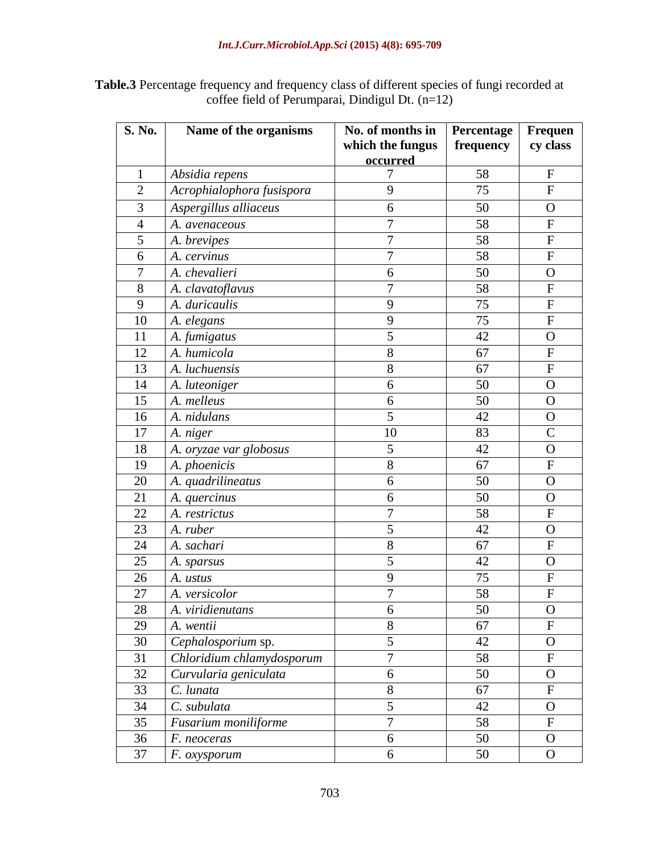| <b>Table.3</b> Percentage frequency and frequency class of different species of fungi recorded at |  |
|---------------------------------------------------------------------------------------------------|--|
| coffee field of Perumparai, Dindigul Dt. $(n=12)$                                                 |  |

| S. No.           | Name of the organisms     | No. of months in | Percentage | <b>Frequen</b> |  |  |
|------------------|---------------------------|------------------|------------|----------------|--|--|
|                  |                           | which the fungus | frequency  | cy class       |  |  |
|                  |                           | occurred         |            |                |  |  |
| $\mathbf{1}$     | Absidia repens            | 7                | 58         | $\mathbf{F}$   |  |  |
| $\overline{2}$   | Acrophialophora fusispora | 9                | 75         | ${\bf F}$      |  |  |
| 3                | Aspergillus alliaceus     | 6                | 50         | $\mathbf O$    |  |  |
| $\overline{4}$   | A. avenaceous             | 7                | 58         | $\mathbf F$    |  |  |
| $\overline{5}$   | A. brevipes               | $\overline{7}$   | 58         | ${\bf F}$      |  |  |
| 6                | A. cervinus               | $\overline{7}$   | 58         | $\mathbf F$    |  |  |
| $\boldsymbol{7}$ | A. chevalieri             | 6                | 50         | $\mathbf O$    |  |  |
| 8                | A. clavatoflavus          | $\overline{7}$   | 58         | $\mathbf F$    |  |  |
| 9                | A. duricaulis             | 9                | 75         | ${\bf F}$      |  |  |
| 10               | A. elegans                | 9                | 75         | ${\bf F}$      |  |  |
| 11               | A. fumigatus              | 5                | 42         | $\mathbf O$    |  |  |
| 12               | A. humicola               | 8                | 67         | ${\bf F}$      |  |  |
| 13               | A. luchuensis             | 8                | 67         | ${\bf F}$      |  |  |
| 14               | A. luteoniger             | 6                | 50         | $\mathbf O$    |  |  |
| 15               | A. melleus                | 6                | 50         | $\overline{O}$ |  |  |
| 16               | A. nidulans               | 5                | 42         | $\mathbf O$    |  |  |
| 17               | A. niger                  | 10               | 83         | $\mathcal{C}$  |  |  |
| 18               | A. oryzae var globosus    | 5                | 42         | $\mathbf O$    |  |  |
| 19               | A. phoenicis              | 8                | 67         | $\mathbf F$    |  |  |
| 20               | A. quadrilineatus         | 6                | 50         | $\mathbf O$    |  |  |
| 21               | A. quercinus              | 6                | 50         | $\overline{O}$ |  |  |
| 22               | A. restrictus             | $\overline{7}$   | 58         | ${\bf F}$      |  |  |
| 23               | A. ruber                  | 5                | 42         | $\mathbf O$    |  |  |
| 24               | A. sachari                | 8                | 67         | $\mathbf F$    |  |  |
| 25               | A. sparsus                | 5                | 42         | $\mathbf O$    |  |  |
| 26               | A. ustus                  | 9                | 75         | $\mathbf F$    |  |  |
| 27               | A. versicolor             | $\overline{7}$   | 58         | $\mathbf F$    |  |  |
| 28               | A. viridienutans          | 6                | 50         | O              |  |  |
| 29               | A. wentii                 | 8                | 67         | $\overline{F}$ |  |  |
| 30               | Cephalosporium sp.        | 5                | 42         | $\mathbf{O}$   |  |  |
| 31               | Chloridium chlamydosporum | $\overline{7}$   | 58         | ${\bf F}$      |  |  |
| 32               | Curvularia geniculata     | 6                | 50         | $\mathbf{O}$   |  |  |
| 33               | C. lunata                 | 8                | 67         | ${\bf F}$      |  |  |
| 34               | C. subulata               | 5                | 42         | O              |  |  |
| 35               | Fusarium moniliforme      | $\overline{7}$   | 58         | ${\bf F}$      |  |  |
| 36               | F. neoceras               | 6                | 50         | $\mathbf{O}$   |  |  |
| 37               | F. oxysporum              | 6                | 50         | $\mathbf{O}$   |  |  |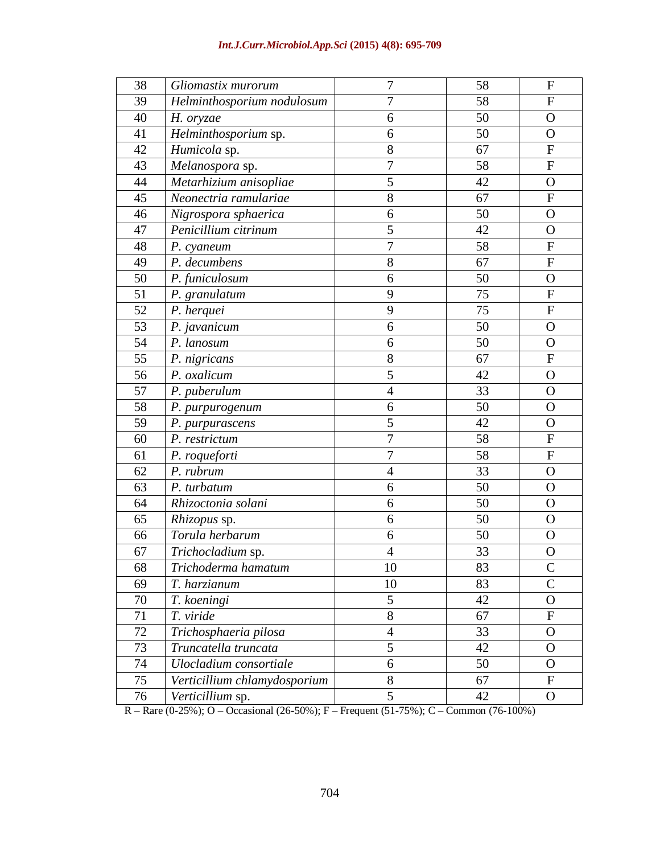| 38 | Gliomastix murorum           | 7                | 58 | F                         |
|----|------------------------------|------------------|----|---------------------------|
| 39 | Helminthosporium nodulosum   | $\overline{7}$   | 58 | $\mathbf{F}$              |
| 40 | H. oryzae                    | 6                | 50 | $\mathbf O$               |
| 41 | Helminthosporium sp.         | 6                | 50 | $\mathbf O$               |
| 42 | Humicola sp.                 | 8                | 67 | $\mathbf F$               |
| 43 | Melanospora sp.              | $\boldsymbol{7}$ | 58 | $\mathbf F$               |
| 44 | Metarhizium anisopliae       | 5                | 42 | $\Omega$                  |
| 45 | Neonectria ramulariae        | 8                | 67 | F                         |
| 46 | Nigrospora sphaerica         | 6                | 50 | $\mathbf O$               |
| 47 | Penicillium citrinum         | 5                | 42 | $\overline{O}$            |
| 48 | P. cyaneum                   | $\overline{7}$   | 58 | $\mathbf F$               |
| 49 | P. decumbens                 | 8                | 67 | $\overline{F}$            |
| 50 | P. funiculosum               | 6                | 50 | $\overline{O}$            |
| 51 | P. granulatum                | 9                | 75 | $\mathbf F$               |
| 52 | P. herquei                   | 9                | 75 | $\mathbf F$               |
| 53 | P. javanicum                 | 6                | 50 | $\mathbf O$               |
| 54 | P. lanosum                   | 6                | 50 | $\mathbf O$               |
| 55 | P. nigricans                 | 8                | 67 | $\mathbf F$               |
| 56 | P. oxalicum                  | 5                | 42 | $\overline{O}$            |
| 57 | P. puberulum                 | $\overline{4}$   | 33 | $\overline{O}$            |
| 58 | P. purpurogenum              | 6                | 50 | $\overline{O}$            |
| 59 | P. purpurascens              | 5                | 42 | $\overline{O}$            |
| 60 | P. restrictum                | $\boldsymbol{7}$ | 58 | $\boldsymbol{\mathrm{F}}$ |
| 61 | P. roqueforti                | $\tau$           | 58 | ${\bf F}$                 |
| 62 | P. rubrum                    | $\overline{4}$   | 33 | O                         |
| 63 | P. turbatum                  | 6                | 50 | $\mathbf O$               |
| 64 | Rhizoctonia solani           | 6                | 50 | $\overline{O}$            |
| 65 | Rhizopus sp.                 | 6                | 50 | $\mathbf O$               |
| 66 | Torula herbarum              | 6                | 50 | $\mathbf{O}$              |
| 67 | Trichocladium sp.            | 4                | 33 | $\overline{O}$            |
| 68 | Trichoderma hamatum          | 10               | 83 | $\mathcal{C}$             |
| 69 | T. harzianum                 | 10               | 83 | $\mathcal{C}$             |
| 70 | T. koeningi                  | 5                | 42 | $\mathbf O$               |
| 71 | T. viride                    | 8                | 67 | ${\bf F}$                 |
| 72 | Trichosphaeria pilosa        | $\overline{4}$   | 33 | $\mathbf{O}$              |
| 73 | Truncatella truncata         | 5                | 42 | $\mathbf{O}$              |
| 74 | Ulocladium consortiale       | 6                | 50 | $\mathbf{O}$              |
| 75 | Verticillium chlamydosporium | 8                | 67 | $\mathbf F$               |
| 76 | Verticillium sp.             | 5                | 42 | $\mathbf{O}$<br>1000'     |

R – Rare (0-25%); O – Occasional (26-50%); F – Frequent (51-75%); C – Common (76-100%)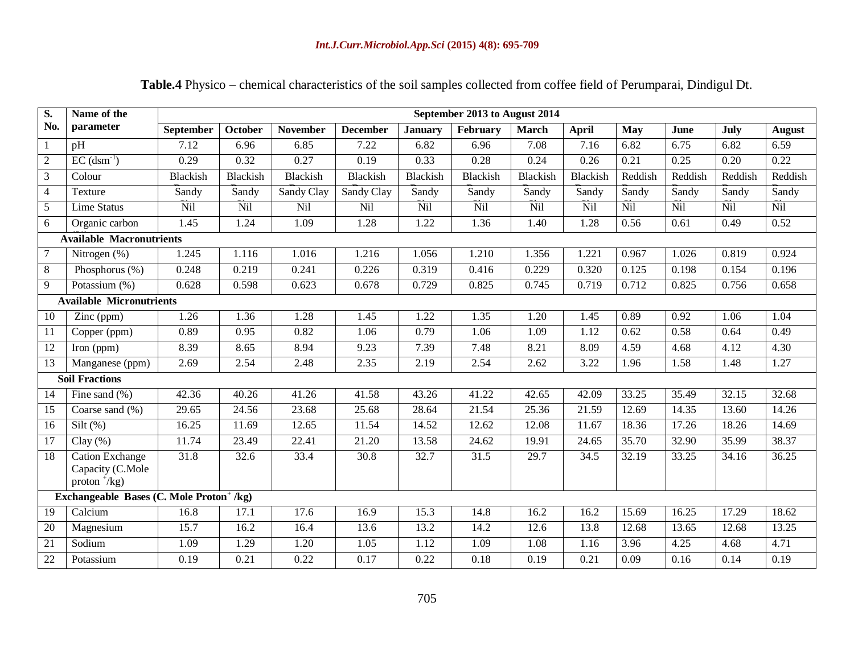| Table.4 Physico – chemical characteristics of the soil samples collected from coffee field of Perumparai, Dindigul Dt. |  |
|------------------------------------------------------------------------------------------------------------------------|--|
|                                                                                                                        |  |

| $\overline{\mathbf{S}}$ .                            | Name of the                                                   | September 2013 to August 2014 |                 |                 |                 |                |          |              |              |            |         |         |               |  |  |
|------------------------------------------------------|---------------------------------------------------------------|-------------------------------|-----------------|-----------------|-----------------|----------------|----------|--------------|--------------|------------|---------|---------|---------------|--|--|
| No.                                                  | parameter                                                     | September                     | <b>October</b>  | <b>November</b> | <b>December</b> | <b>January</b> | February | <b>March</b> | <b>April</b> | <b>May</b> | June    | July    | <b>August</b> |  |  |
| $\mathbf{1}$                                         | pH                                                            | 7.12                          | 6.96            | 6.85            | 7.22            | 6.82           | 6.96     | 7.08         | 7.16         | 6.82       | 6.75    | 6.82    | 6.59          |  |  |
| $\overline{2}$                                       | $EC$ (dsm <sup>-1</sup> )                                     | 0.29                          | 0.32            | 0.27            | 0.19            | 0.33           | 0.28     | 0.24         | 0.26         | 0.21       | 0.25    | 0.20    | 0.22          |  |  |
| $\overline{3}$                                       | Colour                                                        | <b>Blackish</b>               | <b>Blackish</b> | Blackish        | Blackish        | Blackish       | Blackish | Blackish     | Blackish     | Reddish    | Reddish | Reddish | Reddish       |  |  |
| $\overline{4}$                                       | Texture                                                       | Sandy                         | Sandy           | Sandy Clay      | Sandy Clay      | Sandy          | Sandy    | Sandy        | Sandy        | Sandy      | Sandy   | Sandy   | Sandy         |  |  |
| 5                                                    | <b>Lime Status</b>                                            | Nil                           | Nil             | Nil             | Nil             | Nil            | Nil      | <b>Nil</b>   | Nil          | Nil        | Nil     | Nil     | <b>Nil</b>    |  |  |
| 6                                                    | Organic carbon                                                | 1.45                          | 1.24            | 1.09            | 1.28            | 1.22           | 1.36     | 1.40         | 1.28         | 0.56       | 0.61    | 0.49    | 0.52          |  |  |
| <b>Available Macronutrients</b>                      |                                                               |                               |                 |                 |                 |                |          |              |              |            |         |         |               |  |  |
| $\tau$                                               | Nitrogen (%)                                                  | 1.245                         | 1.116           | 1.016           | 1.216           | 1.056          | 1.210    | 1.356        | 1.221        | 0.967      | 1.026   | 0.819   | 0.924         |  |  |
| 8                                                    | Phosphorus (%)                                                | 0.248                         | 0.219           | 0.241           | 0.226           | 0.319          | 0.416    | 0.229        | 0.320        | 0.125      | 0.198   | 0.154   | 0.196         |  |  |
| 9                                                    | Potassium (%)                                                 | 0.628                         | 0.598           | 0.623           | 0.678           | 0.729          | 0.825    | 0.745        | 0.719        | 0.712      | 0.825   | 0.756   | 0.658         |  |  |
|                                                      | <b>Available Micronutrients</b>                               |                               |                 |                 |                 |                |          |              |              |            |         |         |               |  |  |
| 10                                                   | Zinc (ppm)                                                    | 1.26                          | 1.36            | 1.28            | 1.45            | 1.22           | 1.35     | 1.20         | 1.45         | 0.89       | 0.92    | 1.06    | 1.04          |  |  |
| 11                                                   | Copper (ppm)                                                  | 0.89                          | 0.95            | 0.82            | 1.06            | 0.79           | 1.06     | 1.09         | 1.12         | 0.62       | 0.58    | 0.64    | 0.49          |  |  |
| 12                                                   | Iron (ppm)                                                    | 8.39                          | 8.65            | 8.94            | 9.23            | 7.39           | 7.48     | 8.21         | 8.09         | 4.59       | 4.68    | 4.12    | 4.30          |  |  |
| $\overline{13}$                                      | Manganese (ppm)                                               | 2.69                          | 2.54            | 2.48            | 2.35            | 2.19           | 2.54     | 2.62         | 3.22         | 1.96       | 1.58    | 1.48    | 1.27          |  |  |
|                                                      | <b>Soil Fractions</b>                                         |                               |                 |                 |                 |                |          |              |              |            |         |         |               |  |  |
| 14                                                   | Fine sand $(\% )$                                             | 42.36                         | 40.26           | 41.26           | 41.58           | 43.26          | 41.22    | 42.65        | 42.09        | 33.25      | 35.49   | 32.15   | 32.68         |  |  |
| 15                                                   | Coarse sand (%)                                               | 29.65                         | 24.56           | 23.68           | 25.68           | 28.64          | 21.54    | 25.36        | 21.59        | 12.69      | 14.35   | 13.60   | 14.26         |  |  |
| 16                                                   | Silt $(\%)$                                                   | 16.25                         | 11.69           | 12.65           | 11.54           | 14.52          | 12.62    | 12.08        | 11.67        | 18.36      | 17.26   | 18.26   | 14.69         |  |  |
| 17                                                   | Clay $(\% )$                                                  | 11.74                         | 23.49           | 22.41           | 21.20           | 13.58          | 24.62    | 19.91        | 24.65        | 35.70      | 32.90   | 35.99   | 38.37         |  |  |
| 18                                                   | <b>Cation Exchange</b><br>Capacity (C.Mole<br>proton $^+/kg)$ | 31.8                          | 32.6            | 33.4            | 30.8            | 32.7           | 31.5     | 29.7         | 34.5         | 32.19      | 33.25   | 34.16   | 36.25         |  |  |
| Exchangeable Bases (C. Mole Proton <sup>+</sup> /kg) |                                                               |                               |                 |                 |                 |                |          |              |              |            |         |         |               |  |  |
| 19                                                   | Calcium                                                       | 16.8                          | 17.1            | 17.6            | 16.9            | 15.3           | 14.8     | 16.2         | 16.2         | 15.69      | 16.25   | 17.29   | 18.62         |  |  |
| 20                                                   | Magnesium                                                     | 15.7                          | 16.2            | 16.4            | 13.6            | 13.2           | 14.2     | 12.6         | 13.8         | 12.68      | 13.65   | 12.68   | 13.25         |  |  |
| 21                                                   | Sodium                                                        | 1.09                          | 1.29            | 1.20            | 1.05            | 1.12           | 1.09     | 1.08         | 1.16         | 3.96       | 4.25    | 4.68    | 4.71          |  |  |
| 22                                                   | Potassium                                                     | 0.19                          | 0.21            | 0.22            | 0.17            | 0.22           | 0.18     | 0.19         | 0.21         | 0.09       | 0.16    | 0.14    | 0.19          |  |  |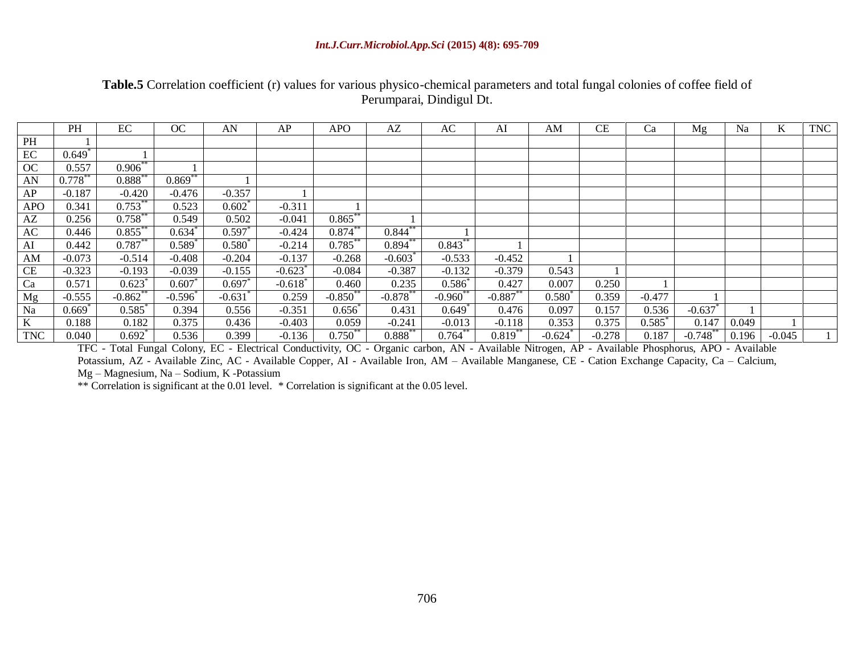| Table.5 Correlation coefficient (r) values for various physico-chemical parameters and total fungal colonies of coffee field of |
|---------------------------------------------------------------------------------------------------------------------------------|
| Perumparai, Dindigul Dt.                                                                                                        |

|                        | PH                   | EC                   | OC          | AN              | AP                    | <b>APO</b> | AZ                    | AC                   | AI         | AM                    | СE       | Ca                   | Mg          | Na    | K        | <b>TNC</b> |
|------------------------|----------------------|----------------------|-------------|-----------------|-----------------------|------------|-----------------------|----------------------|------------|-----------------------|----------|----------------------|-------------|-------|----------|------------|
| PH                     |                      |                      |             |                 |                       |            |                       |                      |            |                       |          |                      |             |       |          |            |
| EC                     | $0.649$ <sup>*</sup> |                      |             |                 |                       |            |                       |                      |            |                       |          |                      |             |       |          |            |
| OC                     | 0.557                | $0.906$ **           |             |                 |                       |            |                       |                      |            |                       |          |                      |             |       |          |            |
| AN                     | $0.778***$           | $0.888^{**}$         | $0.869**$   |                 |                       |            |                       |                      |            |                       |          |                      |             |       |          |            |
| AP                     | $-0.187$             | $-0.420$             | $-0.476$    | $-0.357$        |                       |            |                       |                      |            |                       |          |                      |             |       |          |            |
| <b>APO</b>             | 0.341                | $0.753***$           | 0.523       | 0.602           | $-0.311$              |            |                       |                      |            |                       |          |                      |             |       |          |            |
| $\mathbf{A}\mathbf{Z}$ | 0.256                | $0.758***$           | 0.549       | 0.502           | $-0.041$              | $0.865***$ |                       |                      |            |                       |          |                      |             |       |          |            |
| AC                     | 0.446                | $0.855***$           | 0.634       | 0.597           | $-0.424$              | $0.874***$ | $0.844***$            |                      |            |                       |          |                      |             |       |          |            |
| AI                     | 0.442                | $0.787**$            | $0.589^{*}$ | $0.580^{\circ}$ | $-0.214$              | $0.785***$ | $0.894***$            | $0.843***$           |            |                       |          |                      |             |       |          |            |
| AM                     | $-0.073$             | $-0.514$             | $-0.408$    | $-0.204$        | $-0.137$              | $-0.268$   | $-0.603$ <sup>*</sup> | $-0.533$             | $-0.452$   |                       |          |                      |             |       |          |            |
| <b>CE</b>              | $-0.323$             | $-0.193$             | $-0.039$    | $-0.155$        | $-0.623$              | $-0.084$   | $-0.387$              | $-0.132$             | $-0.379$   | 0.543                 |          |                      |             |       |          |            |
| Ca                     | 0.571                | 0.623                | $0.607*$    | 0.697           | $-0.618$ <sup>*</sup> | 0.460      | 0.235                 | $0.586^{*}$          | 0.427      | 0.007                 | 0.250    |                      |             |       |          |            |
| Mg                     | $-0.555$             | $-0.862$ **          | $-0.596$    | $-0.631$        | 0.259                 | $-0.850**$ | $-0.878**$            | $-0.960^*$           | $-0.887**$ | $0.580^{*}$           | 0.359    | $-0.477$             |             |       |          |            |
| Na                     | $0.669$ <sup>*</sup> | 0.585                | 0.394       | 0.556           | $-0.351$              | 0.656      | 0.431                 | $0.649$ <sup>*</sup> | 0.476      | 0.097                 | 0.157    | 0.536                | $-0.637$    |       |          |            |
| K                      | 0.188                | 0.182                | 0.375       | 0.436           | $-0.403$              | 0.059      | $-0.241$              | $-0.013$             | $-0.118$   | 0.353                 | 0.375    | $0.585$ <sup>*</sup> | 0.147       | 0.049 |          |            |
| <b>TNC</b>             | 0.040                | $0.692$ <sup>*</sup> | 0.536       | 0.399           | $-0.136$              | $0.750**$  | $0.888***$            | $0.764***$           | $0.819**$  | $-0.624$ <sup>*</sup> | $-0.278$ | 0.187                | $-0.748$ ** | 0.196 | $-0.045$ |            |

TFC - Total Fungal Colony, EC - Electrical Conductivity, OC - Organic carbon, AN - Available Nitrogen, AP - Available Phosphorus, APO - Available Potassium, AZ - Available Zinc, AC - Available Copper, AI - Available Iron, AM – Available Manganese, CE - Cation Exchange Capacity, Ca – Calcium, Mg – Magnesium, Na – Sodium, K -Potassium

\*\* Correlation is significant at the 0.01 level. \* Correlation is significant at the 0.05 level.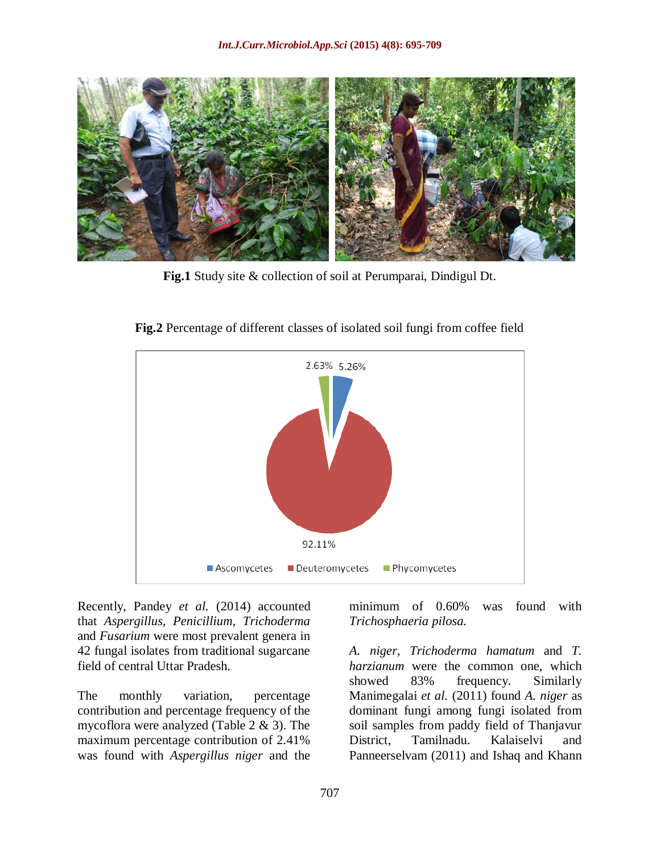

**Fig.1** Study site & collection of soil at Perumparai, Dindigul Dt.



**Fig.2** Percentage of different classes of isolated soil fungi from coffee field

Recently, Pandey *et al.* (2014) accounted that *Aspergillus, Penicillium, Trichoderma* and *Fusarium* were most prevalent genera in 42 fungal isolates from traditional sugarcane field of central Uttar Pradesh.

The monthly variation, percentage contribution and percentage frequency of the mycoflora were analyzed (Table 2 & 3). The maximum percentage contribution of 2.41% was found with *Aspergillus niger* and the

minimum of 0.60% was found with *Trichosphaeria pilosa.*

*A. niger, Trichoderma hamatum* and *T. harzianum* were the common one, which showed 83% frequency. Similarly Manimegalai *et al.* (2011) found *A. niger* as dominant fungi among fungi isolated from soil samples from paddy field of Thanjavur District, Tamilnadu. Kalaiselvi and Panneerselvam (2011) and Ishaq and Khann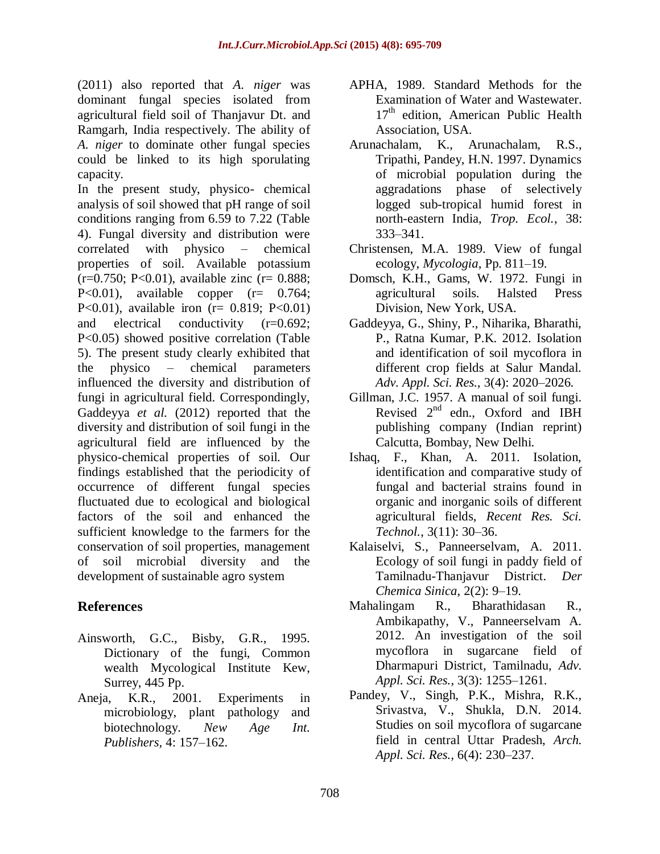(2011) also reported that *A. niger* was dominant fungal species isolated from agricultural field soil of Thanjavur Dt. and Ramgarh, India respectively. The ability of *A. niger* to dominate other fungal species could be linked to its high sporulating capacity.

In the present study, physico- chemical analysis of soil showed that pH range of soil conditions ranging from 6.59 to 7.22 (Table 4). Fungal diversity and distribution were correlated with physico – chemical properties of soil. Available potassium  $(r=0.750; P<0.01)$ , available zinc  $(r= 0.888;$ P<0.01), available copper  $(r= 0.764;$ P<0.01), available iron ( $r = 0.819$ ; P<0.01) and electrical conductivity (r=0.692; P<0.05) showed positive correlation (Table 5). The present study clearly exhibited that the physico – chemical parameters influenced the diversity and distribution of fungi in agricultural field. Correspondingly, Gaddeyya *et al.* (2012) reported that the diversity and distribution of soil fungi in the agricultural field are influenced by the physico-chemical properties of soil. Our findings established that the periodicity of occurrence of different fungal species fluctuated due to ecological and biological factors of the soil and enhanced the sufficient knowledge to the farmers for the conservation of soil properties, management of soil microbial diversity and the development of sustainable agro system

## **References**

- Ainsworth, G.C., Bisby, G.R., 1995. Dictionary of the fungi, Common wealth Mycological Institute Kew, Surrey, 445 Pp.
- Aneja, K.R., 2001. Experiments in microbiology, plant pathology and biotechnology. *New Age Int. Publishers,* 4: 157–162.
- APHA, 1989. Standard Methods for the Examination of Water and Wastewater. 17<sup>th</sup> edition, American Public Health Association, USA.
- Arunachalam, K., Arunachalam, R.S., Tripathi, Pandey, H.N. 1997. Dynamics of microbial population during the aggradations phase of selectively logged sub-tropical humid forest in north-eastern India, *Trop. Ecol.*, 38: 333–341.
- Christensen, M.A. 1989. View of fungal ecology, *Mycologia*, Pp. 811–19.
- Domsch, K.H., Gams, W. 1972. Fungi in agricultural soils. Halsted Press Division, New York, USA.
- Gaddeyya, G., Shiny, P., Niharika, Bharathi, P., Ratna Kumar, P.K. 2012. Isolation and identification of soil mycoflora in different crop fields at Salur Mandal. *Adv. Appl. Sci. Res.,* 3(4): 2020–2026.
- Gillman, J.C. 1957. A manual of soil fungi. Revised  $2^{nd}$  edn., Oxford and IBH publishing company (Indian reprint) Calcutta, Bombay, New Delhi.
- Ishaq, F., Khan, A. 2011. Isolation, identification and comparative study of fungal and bacterial strains found in organic and inorganic soils of different agricultural fields, *Recent Res. Sci. Technol.*, 3(11): 30–36.
- Kalaiselvi, S., Panneerselvam, A. 2011. Ecology of soil fungi in paddy field of Tamilnadu-Thanjavur District. *Der Chemica Sinica*, 2(2): 9–19.
- Mahalingam R., Bharathidasan R., Ambikapathy, V., Panneerselvam A. 2012. An investigation of the soil mycoflora in sugarcane field of Dharmapuri District, Tamilnadu, *Adv. Appl. Sci. Res.*, 3(3): 1255–1261.
- Pandey, V., Singh, P.K., Mishra, R.K., Srivastva, V., Shukla, D.N. 2014. Studies on soil mycoflora of sugarcane field in central Uttar Pradesh, *Arch. Appl. Sci. Res.,* 6(4): 230–237.